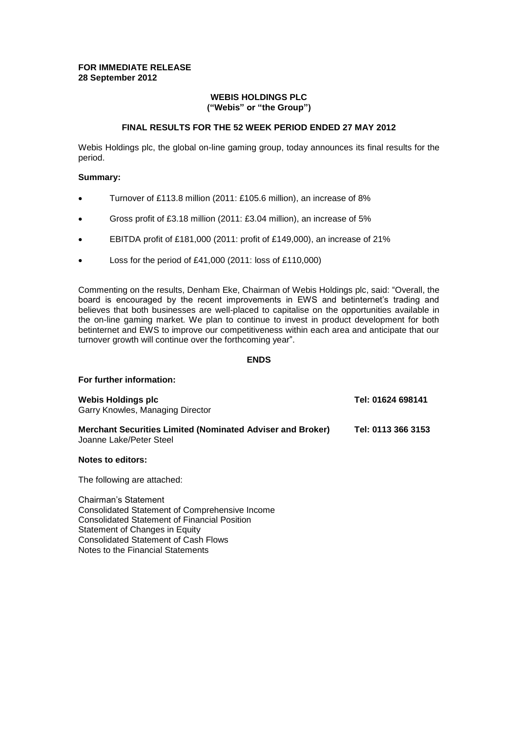### **FOR IMMEDIATE RELEASE 28 September 2012**

### **WEBIS HOLDINGS PLC ("Webis" or "the Group")**

### **FINAL RESULTS FOR THE 52 WEEK PERIOD ENDED 27 MAY 2012**

Webis Holdings plc, the global on-line gaming group, today announces its final results for the period.

### **Summary:**

- Turnover of £113.8 million (2011: £105.6 million), an increase of 8%
- Gross profit of £3.18 million (2011: £3.04 million), an increase of 5%
- EBITDA profit of £181,000 (2011: profit of £149,000), an increase of 21%
- Loss for the period of £41,000 (2011: loss of £110,000)

Commenting on the results, Denham Eke, Chairman of Webis Holdings plc, said: "Overall, the board is encouraged by the recent improvements in EWS and betinternet's trading and believes that both businesses are well-placed to capitalise on the opportunities available in the on-line gaming market. We plan to continue to invest in product development for both betinternet and EWS to improve our competitiveness within each area and anticipate that our turnover growth will continue over the forthcoming year".

# **ENDS**

#### **For further information:**

| Webis Holdings plc<br>Garry Knowles, Managing Director                                       | Tel: 01624 698141  |
|----------------------------------------------------------------------------------------------|--------------------|
| <b>Merchant Securities Limited (Nominated Adviser and Broker)</b><br>Joanne Lake/Peter Steel | Tel: 0113 366 3153 |
|                                                                                              |                    |

### **Notes to editors:**

The following are attached:

Chairman's Statement Consolidated Statement of Comprehensive Income Consolidated Statement of Financial Position Statement of Changes in Equity Consolidated Statement of Cash Flows Notes to the Financial Statements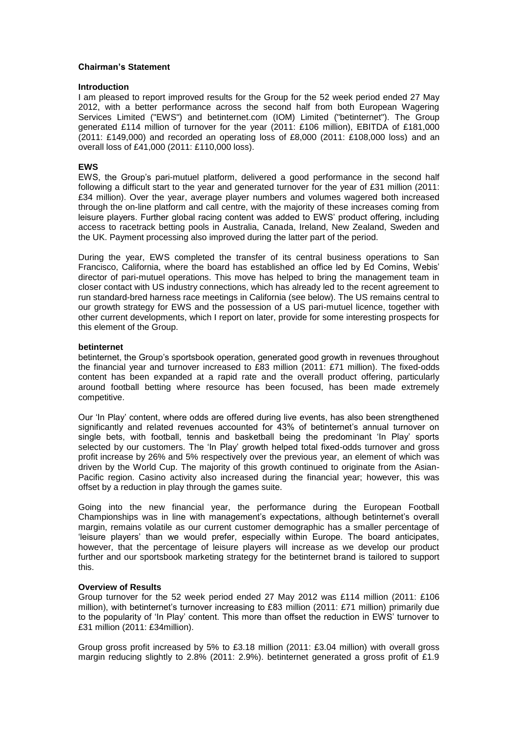### **Chairman's Statement**

#### **Introduction**

I am pleased to report improved results for the Group for the 52 week period ended 27 May 2012, with a better performance across the second half from both European Wagering Services Limited ("EWS") and betinternet.com (IOM) Limited ("betinternet"). The Group generated £114 million of turnover for the year (2011: £106 million), EBITDA of £181,000  $(2011: \text{\textsterling}149,000)$  and recorded an operating loss of £8,000 (2011: £108,000 loss) and an overall loss of £41,000 (2011: £110,000 loss).

### **EWS**

EWS, the Group's pari-mutuel platform, delivered a good performance in the second half following a difficult start to the year and generated turnover for the year of £31 million (2011: £34 million). Over the year, average player numbers and volumes wagered both increased through the on-line platform and call centre, with the majority of these increases coming from leisure players. Further global racing content was added to EWS' product offering, including access to racetrack betting pools in Australia, Canada, Ireland, New Zealand, Sweden and the UK. Payment processing also improved during the latter part of the period.

During the year, EWS completed the transfer of its central business operations to San Francisco, California, where the board has established an office led by Ed Comins, Webis' director of pari-mutuel operations. This move has helped to bring the management team in closer contact with US industry connections, which has already led to the recent agreement to run standard-bred harness race meetings in California (see below). The US remains central to our growth strategy for EWS and the possession of a US pari-mutuel licence, together with other current developments, which I report on later, provide for some interesting prospects for this element of the Group.

### **betinternet**

betinternet, the Group's sportsbook operation, generated good growth in revenues throughout the financial year and turnover increased to £83 million (2011: £71 million). The fixed-odds content has been expanded at a rapid rate and the overall product offering, particularly around football betting where resource has been focused, has been made extremely competitive.

Our 'In Play' content, where odds are offered during live events, has also been strengthened significantly and related revenues accounted for 43% of betinternet's annual turnover on single bets, with football, tennis and basketball being the predominant 'In Play' sports selected by our customers. The 'In Play' growth helped total fixed-odds turnover and gross profit increase by 26% and 5% respectively over the previous year, an element of which was driven by the World Cup. The majority of this growth continued to originate from the Asian-Pacific region. Casino activity also increased during the financial year; however, this was offset by a reduction in play through the games suite.

Going into the new financial year, the performance during the European Football Championships was in line with management's expectations, although betinternet's overall margin, remains volatile as our current customer demographic has a smaller percentage of 'leisure players' than we would prefer, especially within Europe. The board anticipates, however, that the percentage of leisure players will increase as we develop our product further and our sportsbook marketing strategy for the betinternet brand is tailored to support this.

### **Overview of Results**

Group turnover for the 52 week period ended 27 May 2012 was £114 million (2011: £106 million), with betinternet's turnover increasing to £83 million (2011: £71 million) primarily due to the popularity of 'In Play' content. This more than offset the reduction in EWS' turnover to £31 million (2011: £34million).

Group gross profit increased by 5% to £3.18 million (2011: £3.04 million) with overall gross margin reducing slightly to 2.8% (2011: 2.9%). betinternet generated a gross profit of £1.9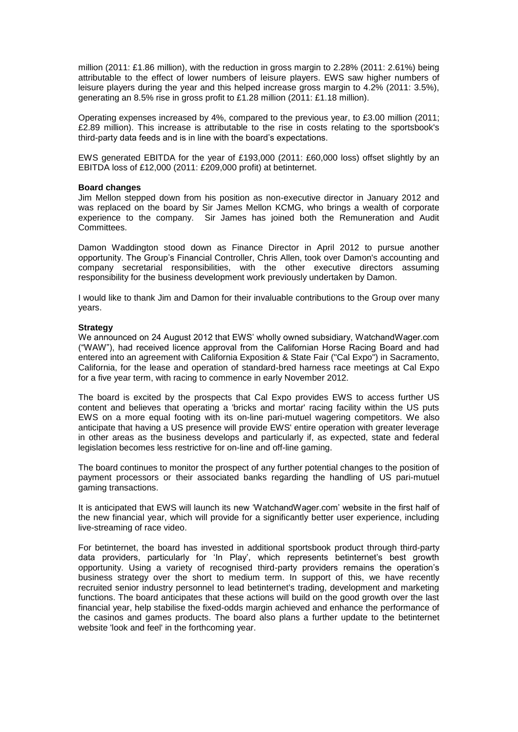million (2011: £1.86 million), with the reduction in gross margin to 2.28% (2011: 2.61%) being attributable to the effect of lower numbers of leisure players. EWS saw higher numbers of leisure players during the year and this helped increase gross margin to 4.2% (2011: 3.5%), generating an 8.5% rise in gross profit to £1.28 million (2011: £1.18 million).

Operating expenses increased by 4%, compared to the previous year, to £3.00 million (2011; £2.89 million). This increase is attributable to the rise in costs relating to the sportsbook's third-party data feeds and is in line with the board's expectations.

EWS generated EBITDA for the year of £193,000 (2011: £60,000 loss) offset slightly by an EBITDA loss of £12,000 (2011: £209,000 profit) at betinternet.

#### **Board changes**

Jim Mellon stepped down from his position as non-executive director in January 2012 and was replaced on the board by Sir James Mellon KCMG, who brings a wealth of corporate experience to the company. Sir James has joined both the Remuneration and Audit Committees.

Damon Waddington stood down as Finance Director in April 2012 to pursue another opportunity. The Group's Financial Controller, Chris Allen, took over Damon's accounting and company secretarial responsibilities, with the other executive directors assuming responsibility for the business development work previously undertaken by Damon.

I would like to thank Jim and Damon for their invaluable contributions to the Group over many years.

### **Strategy**

We announced on 24 August 2012 that EWS' wholly owned subsidiary, WatchandWager.com ("WAW"), had received licence approval from the Californian Horse Racing Board and had entered into an agreement with California Exposition & State Fair ("Cal Expo") in Sacramento, California, for the lease and operation of standard-bred harness race meetings at Cal Expo for a five year term, with racing to commence in early November 2012.

The board is excited by the prospects that Cal Expo provides EWS to access further US content and believes that operating a 'bricks and mortar' racing facility within the US puts EWS on a more equal footing with its on-line pari-mutuel wagering competitors. We also anticipate that having a US presence will provide EWS' entire operation with greater leverage in other areas as the business develops and particularly if, as expected, state and federal legislation becomes less restrictive for on-line and off-line gaming.

The board continues to monitor the prospect of any further potential changes to the position of payment processors or their associated banks regarding the handling of US pari-mutuel gaming transactions.

It is anticipated that EWS will launch its new 'WatchandWager.com' website in the first half of the new financial year, which will provide for a significantly better user experience, including live-streaming of race video.

For betinternet, the board has invested in additional sportsbook product through third-party data providers, particularly for 'In Play', which represents betinternet's best growth opportunity. Using a variety of recognised third-party providers remains the operation's business strategy over the short to medium term. In support of this, we have recently recruited senior industry personnel to lead betinternet's trading, development and marketing functions. The board anticipates that these actions will build on the good growth over the last financial year, help stabilise the fixed-odds margin achieved and enhance the performance of the casinos and games products. The board also plans a further update to the betinternet website 'look and feel' in the forthcoming year.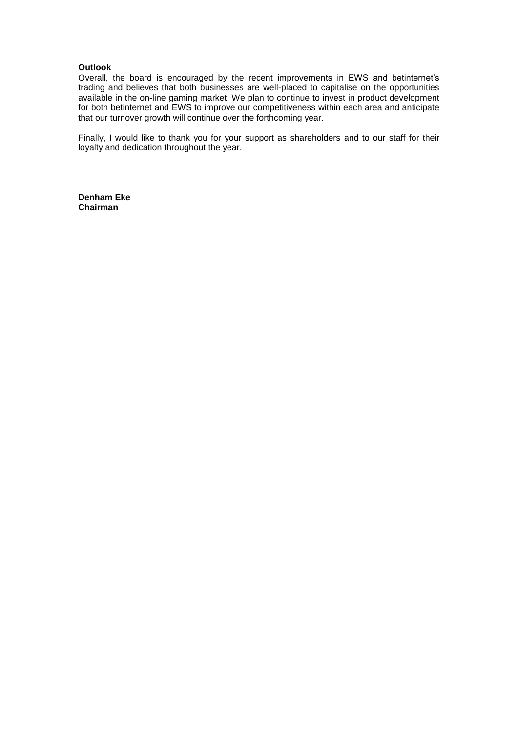### **Outlook**

Overall, the board is encouraged by the recent improvements in EWS and betinternet's trading and believes that both businesses are well-placed to capitalise on the opportunities available in the on-line gaming market. We plan to continue to invest in product development for both betinternet and EWS to improve our competitiveness within each area and anticipate that our turnover growth will continue over the forthcoming year.

Finally, I would like to thank you for your support as shareholders and to our staff for their loyalty and dedication throughout the year.

**Denham Eke Chairman**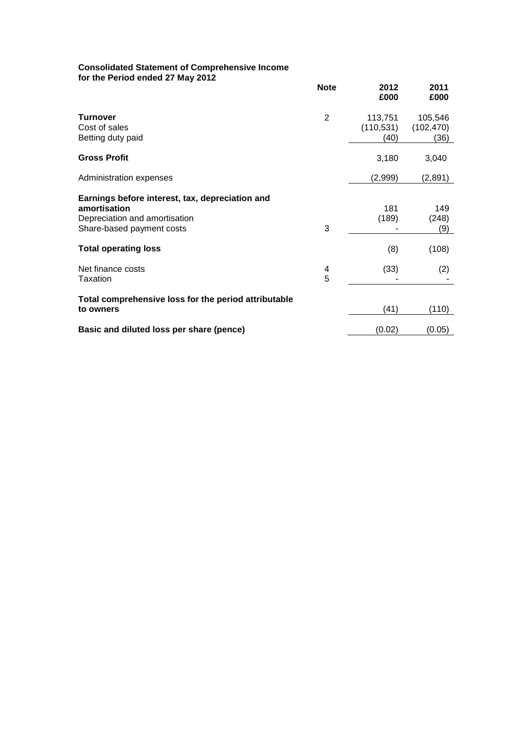#### **Consolidated Statement of Comprehensive Income for the Period ended 27 May 2012**

| TOT THE FEITOG ENGED ZT MAY ZUTZ                                                                                              | <b>Note</b> | 2012<br>£000                  | 2011<br>£000                  |
|-------------------------------------------------------------------------------------------------------------------------------|-------------|-------------------------------|-------------------------------|
| <b>Turnover</b><br>Cost of sales<br>Betting duty paid                                                                         | 2           | 113,751<br>(110, 531)<br>(40) | 105,546<br>(102, 470)<br>(36) |
| <b>Gross Profit</b>                                                                                                           |             | 3,180                         | 3,040                         |
| Administration expenses                                                                                                       |             | (2,999)                       | (2,891)                       |
| Earnings before interest, tax, depreciation and<br>amortisation<br>Depreciation and amortisation<br>Share-based payment costs | 3           | 181<br>(189)                  | 149<br>(248)<br>(9)           |
| <b>Total operating loss</b>                                                                                                   |             | (8)                           | (108)                         |
| Net finance costs<br>Taxation                                                                                                 | 4<br>5      | (33)                          | (2)                           |
| Total comprehensive loss for the period attributable<br>to owners                                                             |             | (41)                          | (110)                         |
| Basic and diluted loss per share (pence)                                                                                      |             | (0.02)                        | (0.05)                        |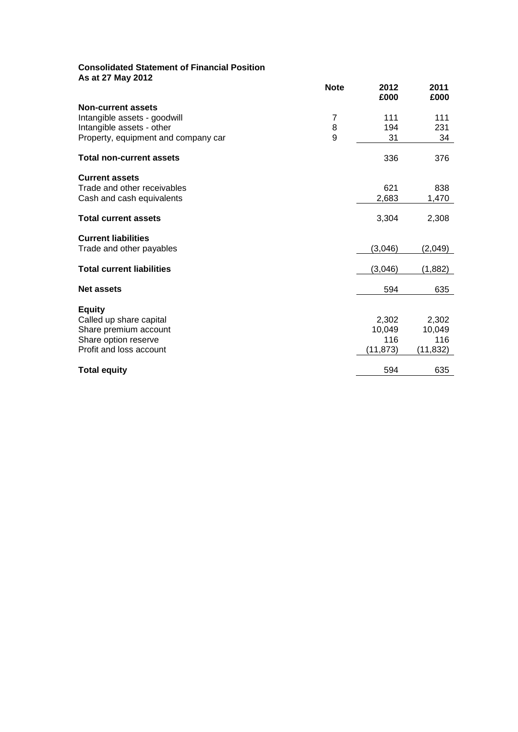# **Consolidated Statement of Financial Position As at 27 May 2012**

|                                                  | <b>Note</b> | 2012<br>£000 | 2011<br>£000 |
|--------------------------------------------------|-------------|--------------|--------------|
| <b>Non-current assets</b>                        |             |              |              |
| Intangible assets - goodwill                     | 7           | 111          | 111          |
| Intangible assets - other                        | 8           | 194          | 231          |
| Property, equipment and company car              | 9           | 31           | 34           |
| <b>Total non-current assets</b>                  |             | 336          | 376          |
| <b>Current assets</b>                            |             |              |              |
| Trade and other receivables                      |             | 621          | 838          |
| Cash and cash equivalents                        |             | 2,683        | 1,470        |
| <b>Total current assets</b>                      |             | 3,304        | 2,308        |
| <b>Current liabilities</b>                       |             |              |              |
| Trade and other payables                         |             | (3,046)      | (2,049)      |
| <b>Total current liabilities</b>                 |             | (3,046)      | (1,882)      |
| <b>Net assets</b>                                |             | 594          | 635          |
|                                                  |             |              |              |
| <b>Equity</b>                                    |             | 2,302        | 2,302        |
| Called up share capital<br>Share premium account |             | 10,049       | 10,049       |
| Share option reserve                             |             | 116          | 116          |
| Profit and loss account                          |             | (11,873)     | (11, 832)    |
|                                                  |             |              |              |
| <b>Total equity</b>                              |             | 594          | 635          |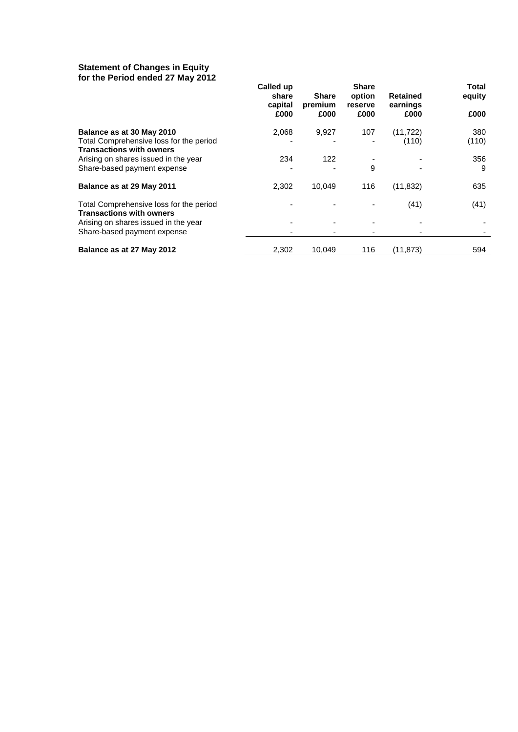### **Statement of Changes in Equity for the Period ended 27 May 2012**

| <u>tule Feriod ended zi may zutz</u>                                       | Called up        |                         | <b>Share</b>      |                             | Total  |
|----------------------------------------------------------------------------|------------------|-------------------------|-------------------|-----------------------------|--------|
|                                                                            | share<br>capital | <b>Share</b><br>premium | option<br>reserve | <b>Retained</b><br>earnings | equity |
|                                                                            | £000             | £000                    | £000              | £000                        | £000   |
| Balance as at 30 May 2010                                                  | 2,068            | 9,927                   | 107               | (11, 722)                   | 380    |
| Total Comprehensive loss for the period<br><b>Transactions with owners</b> |                  |                         |                   | (110)                       | (110)  |
| Arising on shares issued in the year                                       | 234              | 122                     |                   |                             | 356    |
| Share-based payment expense                                                |                  |                         | 9                 |                             | 9      |
| Balance as at 29 May 2011                                                  | 2,302            | 10,049                  | 116               | (11, 832)                   | 635    |
| Total Comprehensive loss for the period<br><b>Transactions with owners</b> |                  |                         |                   | (41)                        | (41)   |
| Arising on shares issued in the year                                       |                  |                         |                   |                             |        |
| Share-based payment expense                                                |                  |                         |                   |                             |        |
| Balance as at 27 May 2012                                                  | 2,302            | 10,049                  | 116               | (11, 873)                   | 594    |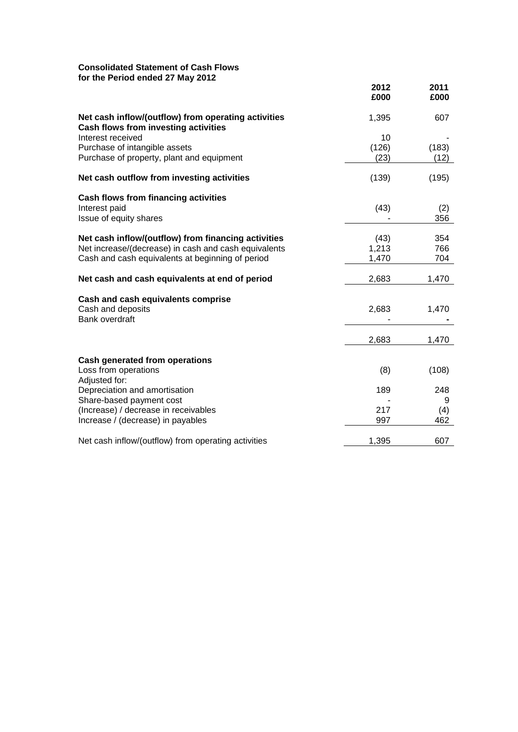# **Consolidated Statement of Cash Flows for the Period ended 27 May 2012**

| $1001$ chod choca 27 may 2012                                                                      | 2012<br>£000 | 2011<br>£000 |
|----------------------------------------------------------------------------------------------------|--------------|--------------|
| Net cash inflow/(outflow) from operating activities<br><b>Cash flows from investing activities</b> | 1,395        | 607          |
| Interest received                                                                                  | 10           |              |
| Purchase of intangible assets                                                                      | (126)        | (183)        |
| Purchase of property, plant and equipment                                                          | (23)         | (12)         |
| Net cash outflow from investing activities                                                         | (139)        | (195)        |
| Cash flows from financing activities                                                               |              |              |
| Interest paid                                                                                      | (43)         | (2)          |
| Issue of equity shares                                                                             |              | 356          |
| Net cash inflow/(outflow) from financing activities                                                | (43)         | 354          |
| Net increase/(decrease) in cash and cash equivalents                                               | 1,213        | 766          |
| Cash and cash equivalents at beginning of period                                                   | 1,470        | 704          |
| Net cash and cash equivalents at end of period                                                     | 2,683        | 1,470        |
| Cash and cash equivalents comprise                                                                 |              |              |
| Cash and deposits                                                                                  | 2,683        | 1,470        |
| <b>Bank overdraft</b>                                                                              |              |              |
|                                                                                                    | 2,683        | 1,470        |
| <b>Cash generated from operations</b>                                                              |              |              |
| Loss from operations                                                                               | (8)          | (108)        |
| Adjusted for:                                                                                      |              |              |
| Depreciation and amortisation                                                                      | 189          | 248          |
| Share-based payment cost                                                                           |              | 9            |
| (Increase) / decrease in receivables                                                               | 217          | (4)          |
| Increase / (decrease) in payables                                                                  | 997          | 462          |
| Net cash inflow/(outflow) from operating activities                                                | 1,395        | 607          |
|                                                                                                    |              |              |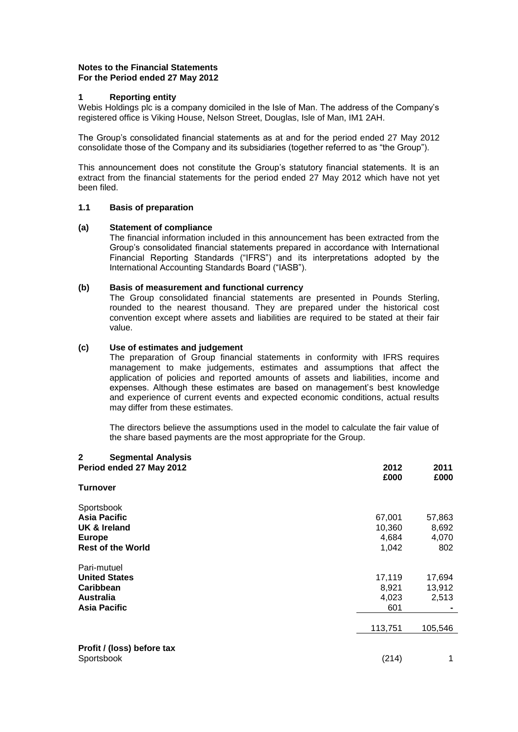# **Notes to the Financial Statements For the Period ended 27 May 2012**

### **1 Reporting entity**

Webis Holdings plc is a company domiciled in the Isle of Man. The address of the Company's registered office is Viking House, Nelson Street, Douglas, Isle of Man, IM1 2AH.

The Group's consolidated financial statements as at and for the period ended 27 May 2012 consolidate those of the Company and its subsidiaries (together referred to as "the Group").

This announcement does not constitute the Group's statutory financial statements. It is an extract from the financial statements for the period ended 27 May 2012 which have not yet been filed.

### **1.1 Basis of preparation**

### **(a) Statement of compliance**

The financial information included in this announcement has been extracted from the Group's consolidated financial statements prepared in accordance with International Financial Reporting Standards ("IFRS") and its interpretations adopted by the International Accounting Standards Board ("IASB").

### **(b) Basis of measurement and functional currency**

The Group consolidated financial statements are presented in Pounds Sterling, rounded to the nearest thousand. They are prepared under the historical cost convention except where assets and liabilities are required to be stated at their fair value.

# **(c) Use of estimates and judgement**

The preparation of Group financial statements in conformity with IFRS requires management to make judgements, estimates and assumptions that affect the application of policies and reported amounts of assets and liabilities, income and expenses. Although these estimates are based on management's best knowledge and experience of current events and expected economic conditions, actual results may differ from these estimates.

The directors believe the assumptions used in the model to calculate the fair value of the share based payments are the most appropriate for the Group.

| $\mathbf{2}$<br><b>Segmental Analysis</b><br>Period ended 27 May 2012 | 2012<br>£000 | 2011<br>£000 |
|-----------------------------------------------------------------------|--------------|--------------|
| Turnover                                                              |              |              |
| Sportsbook                                                            |              |              |
| <b>Asia Pacific</b>                                                   | 67,001       | 57,863       |
| <b>UK &amp; Ireland</b>                                               | 10,360       | 8,692        |
| <b>Europe</b>                                                         | 4,684        | 4,070        |
| <b>Rest of the World</b>                                              | 1,042        | 802          |
| Pari-mutuel                                                           |              |              |
| <b>United States</b>                                                  | 17,119       | 17,694       |
| Caribbean                                                             | 8,921        | 13,912       |
| <b>Australia</b>                                                      | 4,023        | 2,513        |
| Asia Pacific                                                          | 601          |              |
|                                                                       |              |              |
|                                                                       | 113,751      | 105,546      |
|                                                                       |              |              |
| Profit / (loss) before tax                                            |              |              |
| Sportsbook                                                            | (214)        | 1            |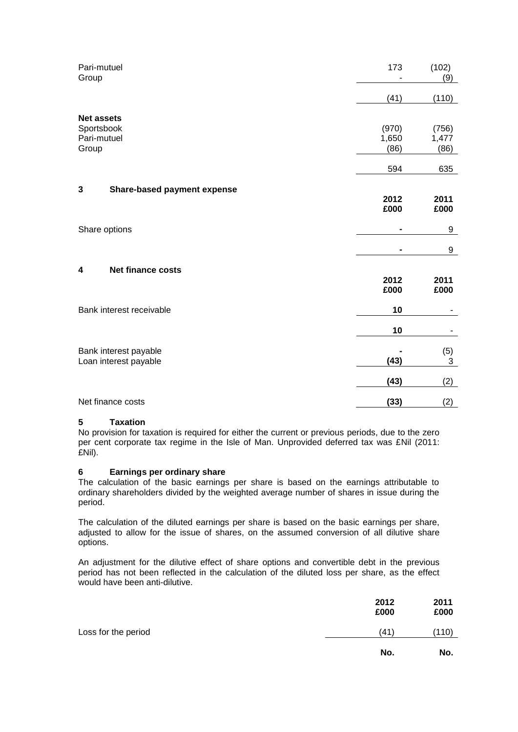| Pari-mutuel<br>Group                           | 173            | (102)<br>(9)  |
|------------------------------------------------|----------------|---------------|
|                                                | (41)           | (110)         |
| <b>Net assets</b><br>Sportsbook                | (970)          | (756)         |
| Pari-mutuel<br>Group                           | 1,650<br>(86)  | 1,477<br>(86) |
|                                                | 594            | 635           |
| 3<br><b>Share-based payment expense</b>        |                |               |
|                                                | 2012<br>£000   | 2011<br>£000  |
| Share options                                  | $\blacksquare$ | 9             |
|                                                |                | 9             |
| Net finance costs<br>4                         |                |               |
|                                                | 2012<br>£000   | 2011<br>£000  |
| Bank interest receivable                       | 10             |               |
|                                                | 10             | ۰             |
| Bank interest payable<br>Loan interest payable | (43)           | (5)<br>3      |
|                                                | (43)           | (2)           |
| Net finance costs                              | (33)           | (2)           |

### **5 Taxation**

No provision for taxation is required for either the current or previous periods, due to the zero per cent corporate tax regime in the Isle of Man. Unprovided deferred tax was £Nil (2011: £Nil).

# **6 Earnings per ordinary share**

The calculation of the basic earnings per share is based on the earnings attributable to ordinary shareholders divided by the weighted average number of shares in issue during the period.

The calculation of the diluted earnings per share is based on the basic earnings per share, adjusted to allow for the issue of shares, on the assumed conversion of all dilutive share options.

An adjustment for the dilutive effect of share options and convertible debt in the previous period has not been reflected in the calculation of the diluted loss per share, as the effect would have been anti-dilutive.

|                     | 2012<br>£000 | 2011<br>£000 |
|---------------------|--------------|--------------|
| Loss for the period | (41)         | (110)        |
|                     | No.          | No.          |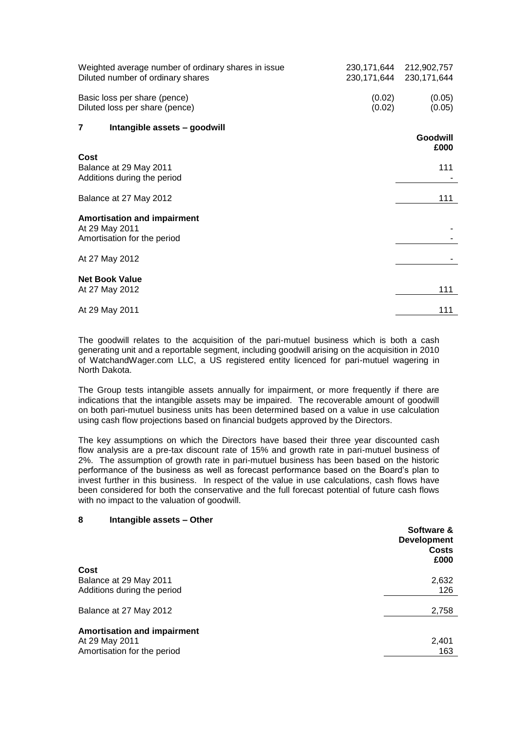| Weighted average number of ordinary shares in issue<br>Diluted number of ordinary shares | 230,171,644      | 230, 171, 644 212, 902, 757<br>230, 171, 644 |
|------------------------------------------------------------------------------------------|------------------|----------------------------------------------|
| Basic loss per share (pence)<br>Diluted loss per share (pence)                           | (0.02)<br>(0.02) | (0.05)<br>(0.05)                             |
| 7<br>Intangible assets - goodwill                                                        |                  | Goodwill<br>£000                             |
| Cost<br>Balance at 29 May 2011<br>Additions during the period                            |                  | 111                                          |
| Balance at 27 May 2012                                                                   |                  | 111                                          |
| <b>Amortisation and impairment</b><br>At 29 May 2011<br>Amortisation for the period      |                  |                                              |
| At 27 May 2012                                                                           |                  |                                              |
| <b>Net Book Value</b><br>At 27 May 2012                                                  |                  | 111                                          |
| At 29 May 2011                                                                           |                  | 111                                          |

The goodwill relates to the acquisition of the pari-mutuel business which is both a cash generating unit and a reportable segment, including goodwill arising on the acquisition in 2010 of WatchandWager.com LLC, a US registered entity licenced for pari-mutuel wagering in North Dakota.

The Group tests intangible assets annually for impairment, or more frequently if there are indications that the intangible assets may be impaired. The recoverable amount of goodwill on both pari-mutuel business units has been determined based on a value in use calculation using cash flow projections based on financial budgets approved by the Directors.

The key assumptions on which the Directors have based their three year discounted cash flow analysis are a pre-tax discount rate of 15% and growth rate in pari-mutuel business of 2%. The assumption of growth rate in pari-mutuel business has been based on the historic performance of the business as well as forecast performance based on the Board's plan to invest further in this business. In respect of the value in use calculations, cash flows have been considered for both the conservative and the full forecast potential of future cash flows with no impact to the valuation of goodwill.

### **8 Intangible assets – Other**

|                                    | Software &<br><b>Development</b><br><b>Costs</b><br>£000 |
|------------------------------------|----------------------------------------------------------|
| Cost                               |                                                          |
| Balance at 29 May 2011             | 2,632                                                    |
| Additions during the period        | 126                                                      |
|                                    |                                                          |
| Balance at 27 May 2012             | 2,758                                                    |
|                                    |                                                          |
| <b>Amortisation and impairment</b> |                                                          |
| At 29 May 2011                     | 2,401                                                    |
| Amortisation for the period        | 163                                                      |
|                                    |                                                          |